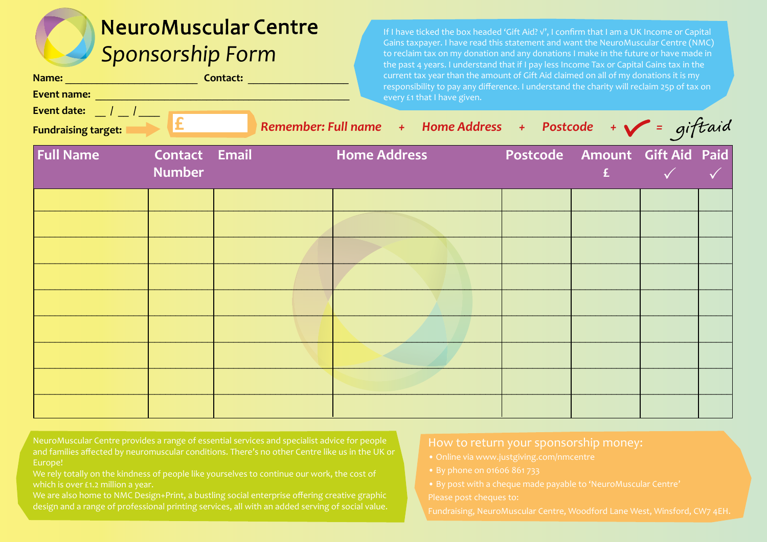## **NeuroMuscular Centre** *Sponsorship Form*

| Name:              | Contact: |  |
|--------------------|----------|--|
| <b>Event name:</b> |          |  |

**Fundraising target: £\_\_\_\_\_\_ \_\_** 

**Event date:** \_\_ **/** \_\_ **/** \_\_\_\_

If I have ticked the box headed 'Gift Aid? √', I confirm that I am a UK Income or Capital Gains taxpayer. I have read this statement and want the NeuroMuscular Centre (NMC) to reclaim tax on my donation and any donations I make in the future or have made in the past 4 years. I understand that if I pay less Income Tax or Capital Gains tax in the current tax year than the amount of Gift Aid claimed on all of my donations it is my responsibility to pay any difference. I understand the charity will reclaim 25p of tax on every £1 that I have given.

Remember: Full name + Home Address + Postcode +  $\sqrt{\frac{1}{1}}$  = gift aid

|                  |                                |  | $\smile$ .          |  |                                    |  |              |
|------------------|--------------------------------|--|---------------------|--|------------------------------------|--|--------------|
| <b>Full Name</b> | Contact Email<br><b>Number</b> |  | <b>Home Address</b> |  | Postcode Amount Gift Aid Paid<br>E |  | $\checkmark$ |
|                  |                                |  |                     |  |                                    |  |              |
|                  |                                |  |                     |  |                                    |  |              |
|                  |                                |  |                     |  |                                    |  |              |
|                  |                                |  |                     |  |                                    |  |              |
|                  |                                |  |                     |  |                                    |  |              |
|                  |                                |  |                     |  |                                    |  |              |
|                  |                                |  |                     |  |                                    |  |              |
|                  |                                |  |                     |  |                                    |  |              |
|                  |                                |  |                     |  |                                    |  |              |

NeuroMuscular Centre provides a range of essential services and specialist advice for people and families affected by neuromuscular conditions. There's no other Centre like us in the UK or Europe!

We rely totally on the kindness of people like yourselves to continue our work, the cost of which is over £1.2 million a year.

We are also home to NMC Design+Print, a bustling social enterprise offering creative graphic design and a range of professional printing services, all with an added serving of social value.

## How to return your sponsorship money: